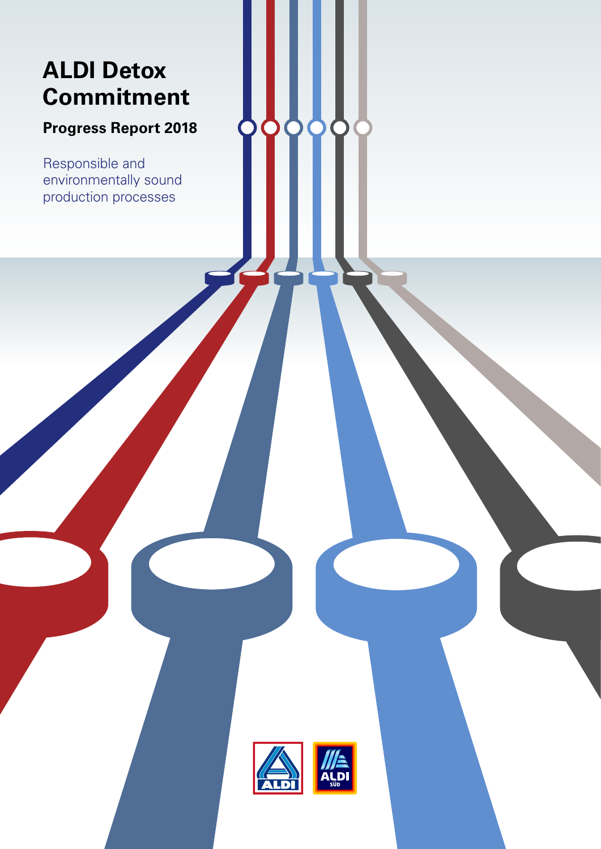# **ALDI Detox Commitment**

## **Progress Report 2018**

Responsible and environmentally sound production processes